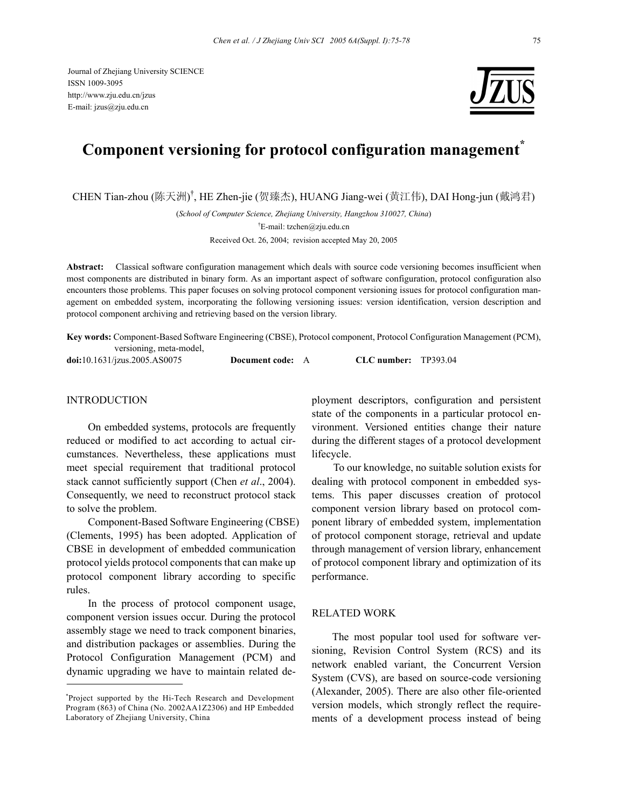

# **Component versioning for protocol configuration management\***

CHEN Tian-zhou (陈天洲)<sup>†</sup>, HE Zhen-jie (贺臻杰), HUANG Jiang-wei (黄江伟), DAI Hong-jun (戴鸿君)

(*School of Computer Science, Zhejiang University, Hangzhou 310027, China*) <sup>†</sup>E-mail: tzchen@zju.edu.cn Received Oct. 26, 2004; revision accepted May 20, 2005

**Abstract:** Classical software configuration management which deals with source code versioning becomes insufficient when most components are distributed in binary form. As an important aspect of software configuration, protocol configuration also encounters those problems. This paper focuses on solving protocol component versioning issues for protocol configuration management on embedded system, incorporating the following versioning issues: version identification, version description and protocol component archiving and retrieving based on the version library.

**Key words:** Component-Based Software Engineering (CBSE), Protocol component, Protocol Configuration Management (PCM), versioning, meta-model, **doi:**10.1631/jzus.2005.AS0075 **Document code:** A **CLC number:** TP393.04

## **INTRODUCTION**

On embedded systems, protocols are frequently reduced or modified to act according to actual circumstances. Nevertheless, these applications must meet special requirement that traditional protocol stack cannot sufficiently support (Chen *et al*., 2004). Consequently, we need to reconstruct protocol stack to solve the problem.

Component-Based Software Engineering (CBSE) (Clements, 1995) has been adopted. Application of CBSE in development of embedded communication protocol yields protocol components that can make up protocol component library according to specific rules.

In the process of protocol component usage, component version issues occur. During the protocol assembly stage we need to track component binaries, and distribution packages or assemblies. During the Protocol Configuration Management (PCM) and dynamic upgrading we have to maintain related de-

ployment descriptors, configuration and persistent state of the components in a particular protocol environment. Versioned entities change their nature during the different stages of a protocol development lifecycle.

To our knowledge, no suitable solution exists for dealing with protocol component in embedded systems. This paper discusses creation of protocol component version library based on protocol component library of embedded system, implementation of protocol component storage, retrieval and update through management of version library, enhancement of protocol component library and optimization of its performance.

## RELATED WORK

The most popular tool used for software versioning, Revision Control System (RCS) and its network enabled variant, the Concurrent Version System (CVS), are based on source-code versioning (Alexander, 2005). There are also other file-oriented version models, which strongly reflect the requirements of a development process instead of being

<sup>\*</sup> Project supported by the Hi-Tech Research and Development Program (863) of China (No. 2002AA1Z2306) and HP Embedded Laboratory of Zhejiang University, China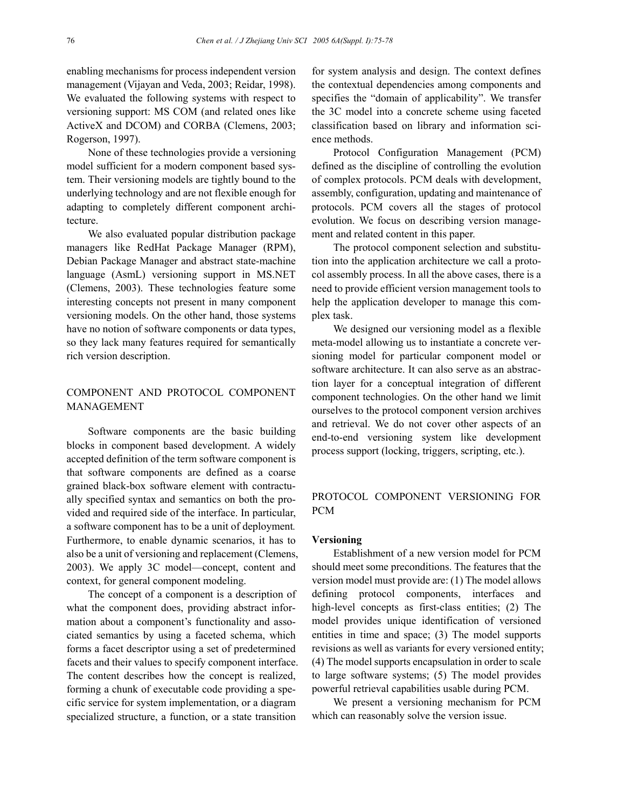enabling mechanisms for process independent version management (Vijayan and Veda, 2003; Reidar, 1998). We evaluated the following systems with respect to versioning support: MS COM (and related ones like ActiveX and DCOM) and CORBA (Clemens, 2003; Rogerson, 1997).

None of these technologies provide a versioning model sufficient for a modern component based system. Their versioning models are tightly bound to the underlying technology and are not flexible enough for adapting to completely different component architecture.

We also evaluated popular distribution package managers like RedHat Package Manager (RPM), Debian Package Manager and abstract state-machine language (AsmL) versioning support in MS.NET (Clemens, 2003). These technologies feature some interesting concepts not present in many component versioning models. On the other hand, those systems have no notion of software components or data types, so they lack many features required for semantically rich version description.

# COMPONENT AND PROTOCOL COMPONENT MANAGEMENT

Software components are the basic building blocks in component based development. A widely accepted definition of the term software component is that software components are defined as a coarse grained black-box software element with contractually specified syntax and semantics on both the provided and required side of the interface. In particular, a software component has to be a unit of deployment*.*  Furthermore, to enable dynamic scenarios, it has to also be a unit of versioning and replacement (Clemens, 2003). We apply 3C model—concept, content and context, for general component modeling.

The concept of a component is a description of what the component does, providing abstract information about a component's functionality and associated semantics by using a faceted schema, which forms a facet descriptor using a set of predetermined facets and their values to specify component interface. The content describes how the concept is realized, forming a chunk of executable code providing a specific service for system implementation, or a diagram specialized structure, a function, or a state transition

for system analysis and design. The context defines the contextual dependencies among components and specifies the "domain of applicability". We transfer the 3C model into a concrete scheme using faceted classification based on library and information science methods.

Protocol Configuration Management (PCM) defined as the discipline of controlling the evolution of complex protocols. PCM deals with development, assembly, configuration, updating and maintenance of protocols. PCM covers all the stages of protocol evolution. We focus on describing version management and related content in this paper.

The protocol component selection and substitution into the application architecture we call a protocol assembly process. In all the above cases, there is a need to provide efficient version management tools to help the application developer to manage this complex task.

We designed our versioning model as a flexible meta-model allowing us to instantiate a concrete versioning model for particular component model or software architecture. It can also serve as an abstraction layer for a conceptual integration of different component technologies. On the other hand we limit ourselves to the protocol component version archives and retrieval. We do not cover other aspects of an end-to-end versioning system like development process support (locking, triggers, scripting, etc.).

# PROTOCOL COMPONENT VERSIONING FOR PCM

# **Versioning**

Establishment of a new version model for PCM should meet some preconditions. The features that the version model must provide are: (1) The model allows defining protocol components, interfaces and high-level concepts as first-class entities; (2) The model provides unique identification of versioned entities in time and space; (3) The model supports revisions as well as variants for every versioned entity; (4) The model supports encapsulation in order to scale to large software systems; (5) The model provides powerful retrieval capabilities usable during PCM.

We present a versioning mechanism for PCM which can reasonably solve the version issue.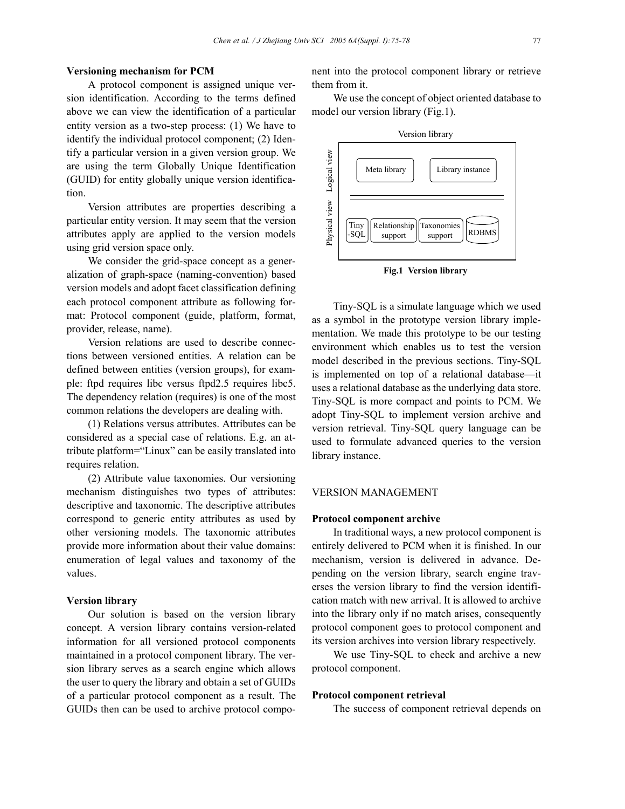#### **Versioning mechanism for PCM**

A protocol component is assigned unique version identification. According to the terms defined above we can view the identification of a particular entity version as a two-step process: (1) We have to identify the individual protocol component; (2) Identify a particular version in a given version group. We are using the term Globally Unique Identification (GUID) for entity globally unique version identification.

Version attributes are properties describing a particular entity version. It may seem that the version attributes apply are applied to the version models using grid version space only.

We consider the grid-space concept as a generalization of graph-space (naming-convention) based version models and adopt facet classification defining each protocol component attribute as following format: Protocol component (guide, platform, format, provider, release, name).

Version relations are used to describe connections between versioned entities. A relation can be defined between entities (version groups), for example: ftpd requires libc versus ftpd2.5 requires libc5. The dependency relation (requires) is one of the most common relations the developers are dealing with.

(1) Relations versus attributes. Attributes can be considered as a special case of relations. E.g. an attribute platform="Linux" can be easily translated into requires relation.

(2) Attribute value taxonomies. Our versioning mechanism distinguishes two types of attributes: descriptive and taxonomic. The descriptive attributes correspond to generic entity attributes as used by other versioning models. The taxonomic attributes provide more information about their value domains: enumeration of legal values and taxonomy of the values.

#### **Version library**

Our solution is based on the version library concept. A version library contains version-related information for all versioned protocol components maintained in a protocol component library. The version library serves as a search engine which allows the user to query the library and obtain a set of GUIDs of a particular protocol component as a result. The GUIDs then can be used to archive protocol component into the protocol component library or retrieve them from it.

We use the concept of object oriented database to model our version library (Fig.1).



Tiny-SQL is a simulate language which we used as a symbol in the prototype version library implementation. We made this prototype to be our testing environment which enables us to test the version model described in the previous sections. Tiny-SQL is implemented on top of a relational database—it uses a relational database as the underlying data store. Tiny-SQL is more compact and points to PCM. We adopt Tiny-SQL to implement version archive and version retrieval. Tiny-SQL query language can be used to formulate advanced queries to the version library instance.

# VERSION MANAGEMENT

#### **Protocol component archive**

In traditional ways, a new protocol component is entirely delivered to PCM when it is finished. In our mechanism, version is delivered in advance. Depending on the version library, search engine traverses the version library to find the version identification match with new arrival. It is allowed to archive into the library only if no match arises, consequently protocol component goes to protocol component and its version archives into version library respectively.

We use Tiny-SQL to check and archive a new protocol component.

# **Protocol component retrieval**

The success of component retrieval depends on